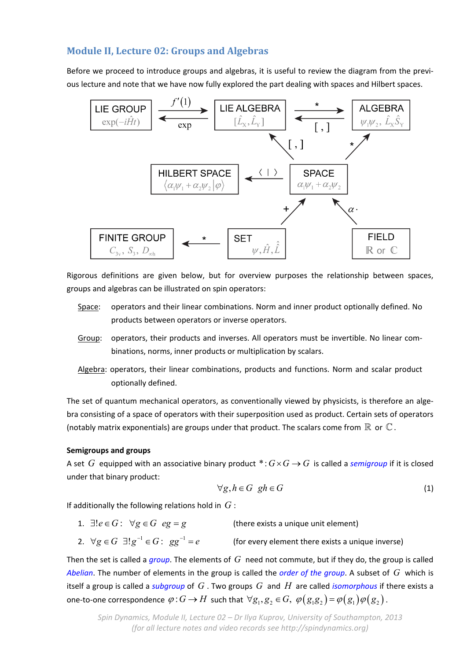# **Module II, Lecture 02: Groups and Algebras**

Before we proceed to introduce groups and algebras, it is useful to review the diagram from the previous lecture and note that we have now fully explored the part dealing with spaces and Hilbert spaces.



Rigorous definitions are given below, but for overview purposes the relationship between spaces, groups and algebras can be illustrated on spin operators:

- Space: operators and their linear combinations. Norm and inner product optionally defined. No products between operators or inverse operators.
- Group: operators, their products and inverses. All operators must be invertible. No linear combinations, norms, inner products or multiplication by scalars.
- Algebra: operators, their linear combinations, products and functions. Norm and scalar product optionally defined.

The set of quantum mechanical operators, as conventionally viewed by physicists, is therefore an algebra consisting of a space of operators with their superposition used as product. Certain sets of operators (notably matrix exponentials) are groups under that product. The scalars come from  $\mathbb R$  or  $\mathbb C$ .

## **Semigroups and groups**

A set *G* equipped with an associative binary product  $\ast: G \times G \rightarrow G$  is called a *semigroup* if it is closed under that binary product:

$$
\forall g, h \in G \ \ gh \in G \tag{1}
$$

If additionally the following relations hold in *G* :

1.  $\exists ! e \in G : \forall g \in G \hspace{2mm} eg = g$  (there exists a unique unit element)

2. 
$$
\forall g \in G \exists! g^{-1} \in G: \; gg^{-1} = e
$$
 (for every element there exists a unique inverse)

Then the set is called a *group*. The elements of *G* need not commute, but if they do, the group is called *Abelian*. The number of elements in the group is called the *order of the group*. A subset of *G* which is itself a group is called a *subgroup* of *G* . Two groups *G* and *H* are called *isomorphous* if there exists a one-to-one correspondence  $\varphi$ :  $G \to H$  such that  $\forall g_1, g_2 \in G$ ,  $\varphi(g_1g_2) = \varphi(g_1)\varphi(g_2)$ .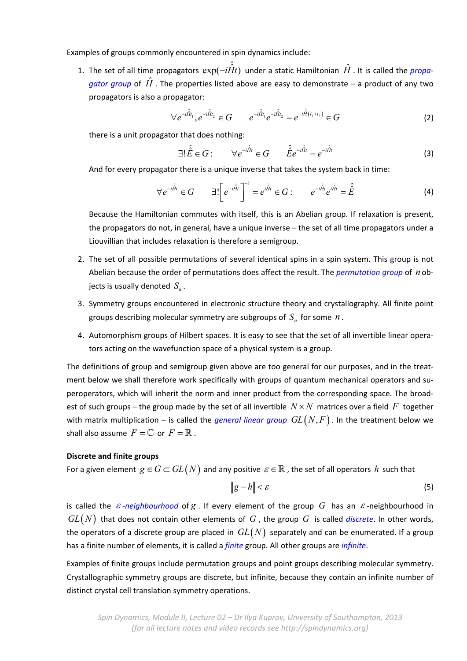Examples of groups commonly encountered in spin dynamics include:

1. The set of all time propagators  $\exp(-i\hat{\hat{H}}t)$  under a static Hamiltonian  $\hat{H}$  . It is called the *propagator group* of  $\hat{H}$  . The properties listed above are easy to demonstrate – a product of any two propagators is also a propagator:

$$
\forall e^{-i\hat{H}t_1}, e^{-i\hat{H}t_2} \in G \qquad e^{-i\hat{H}t_1} e^{-i\hat{H}t_2} = e^{-i\hat{H}(t_1+t_2)} \in G \tag{2}
$$

there is a unit propagator that does nothing:

$$
\exists! \hat{\hat{E}} \in G: \qquad \forall e^{-i\hat{H}t} \in G \qquad \hat{\hat{E}} e^{-i\hat{H}t} = e^{-i\hat{H}t} \tag{3}
$$

And for every propagator there is a unique inverse that takes the system back in time:

$$
\forall e^{-i\hat{H}t} \in G \qquad \exists! \left[ e^{-i\hat{H}t} \right]^{-1} = e^{i\hat{H}t} \in G : \qquad e^{-i\hat{H}t} e^{i\hat{H}t} = \hat{\hat{E}} \tag{4}
$$

Because the Hamiltonian commutes with itself, this is an Abelian group. If relaxation is present, the propagators do not, in general, have a unique inverse – the set of all time propagators under a Liouvillian that includes relaxation is therefore a semigroup.

- 2. The set of all possible permutations of several identical spins in a spin system. This group is not Abelian because the order of permutations does affect the result. The *permutation group* of *n* ob‐ jects is usually denoted  $S_n$ .
- 3. Symmetry groups encountered in electronic structure theory and crystallography. All finite point groups describing molecular symmetry are subgroups of  $S_n$  for some  $n$ .
- 4. Automorphism groups of Hilbert spaces. It is easy to see that the set of all invertible linear opera‐ tors acting on the wavefunction space of a physical system is a group.

The definitions of group and semigroup given above are too general for our purposes, and in the treat‐ ment below we shall therefore work specifically with groups of quantum mechanical operators and superoperators, which will inherit the norm and inner product from the corresponding space. The broadest of such groups – the group made by the set of all invertible  $N \times N$  matrices over a field F together with matrix multiplication – is called the *general linear group*  $GL(N,F)$ . In the treatment below we shall also assume  $F = \mathbb{C}$  or  $F = \mathbb{R}$ .

## **Discrete and finite groups**

For a given element  $g \in G \subset GL(N)$  and any positive  $\varepsilon \in \mathbb{R}$ , the set of all operators h such that

$$
||g-h|| < \varepsilon \tag{5}
$$

is called the  $\varepsilon$ -neighbourhood of  $g$ . If every element of the group G has an  $\varepsilon$ -neighbourhood in  $GL(N)$  that does not contain other elements of  $G$ , the group  $G$  is called *discrete*. In other words, the operators of a discrete group are placed in  $GL(N)$  separately and can be enumerated. If a group has a finite number of elements, it is called a *finite* group. All other groups are *infinite*.

Examples of finite groups include permutation groups and point groups describing molecular symmetry. Crystallographic symmetry groups are discrete, but infinite, because they contain an infinite number of distinct crystal cell translation symmetry operations.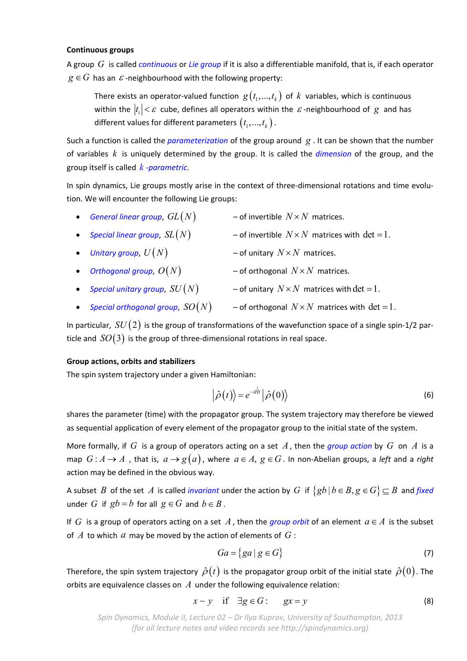## **Continuous groups**

A group *G* is called *continuous* or *Lie group* if it is also a differentiable manifold, that is, if each operator  $g \in G$  has an  $\varepsilon$ -neighbourhood with the following property:

There exists an operator-valued function  $g(t_1,..., t_k)$  of  $k$  variables, which is continuous within the  $|t_i| < \varepsilon$  cube, defines all operators within the  $\varepsilon$ -neighbourhood of  $g$  and has different values for different parameters  $(t_1,...,t_k)$ .

Such a function is called the *parameterization* of the group around *g* . It can be shown that the number of variables *k* is uniquely determined by the group. It is called the *dimension* of the group, and the group itself is called *k ‐parametric*.

In spin dynamics, Lie groups mostly arise in the context of three-dimensional rotations and time evolution. We will encounter the following Lie groups:

- *General linear group,*  $GL(N)$  of invertible  $N \times N$  matrices.
- Special linear group,  $SL(N)$  of invertible  $N \times N$  matrices with  $det = 1$ .
- Unitary group,  $U(N)$  of unitary  $N \times N$  matrices.
- Orthogonal group,  $O(N)$  of orthogonal  $N \times N$  matrices.
- *Special unitary group,*  $SU(N)$  of unitary  $N \times N$  matrices with det = 1.
- Special orthogonal group,  $SO(N)$  of orthogonal  $N \times N$  matrices with det = 1.

In particular,  $SU(2)$  is the group of transformations of the wavefunction space of a single spin-1/2 particle and  $SO(3)$  is the group of three-dimensional rotations in real space.

## **Group actions, orbits and stabilizers**

The spin system trajectory under a given Hamiltonian:

$$
\left|\hat{\rho}(t)\right\rangle = e^{-i\hat{H}t} \left|\hat{\rho}(0)\right\rangle
$$
\n(6)

shares the parameter (time) with the propagator group. The system trajectory may therefore be viewed as sequential application of every element of the propagator group to the initial state of the system.

More formally, if *G* is a group of operators acting on a set *A*, then the *group action* by *G* on *A* is a map  $G:A \to A$ , that is,  $a \to g(a)$ , where  $a \in A$ ,  $g \in G$ . In non-Abelian groups, a *left* and a *right* action may be defined in the obvious way.

A subset *B* of the set *A* is called *invariant* under the action by *G* if  $\{gb \mid b \in B, g \in G\} \subseteq B$  and *fixed* under *G* if  $gb = b$  for all  $g \in G$  and  $b \in B$ .

If *G* is a group of operators acting on a set A, then the *group orbit* of an element  $a \in A$  is the subset of *A* to which *a* may be moved by the action of elements of *G* :

$$
Ga = \{ ga \mid g \in G \}
$$
 (7)

Therefore, the spin system trajectory  $\hat{\rho}(t)$  is the propagator group orbit of the initial state  $\hat{\rho}(0)$ . The orbits are equivalence classes on *A* under the following equivalence relation:

$$
x \sim y \quad \text{if} \quad \exists g \in G: \qquad gx = y \tag{8}
$$

*Spin Dynamics, Module II, Lecture 02 – Dr Ilya Kuprov, University of Southampton, 2013 (for all lecture notes and video records see http://spindynamics.org)*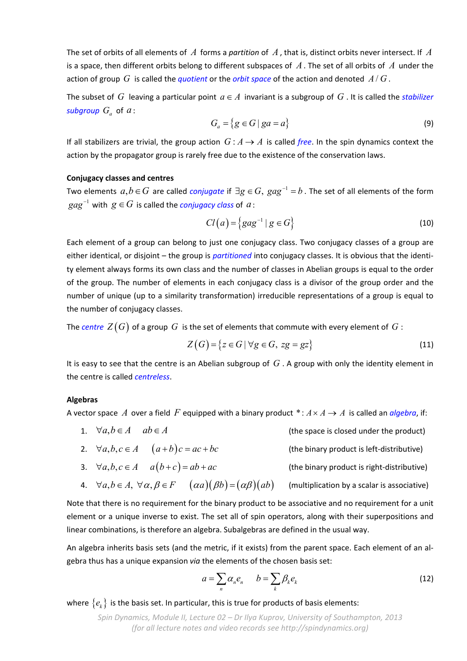The set of orbits of all elements of *A* forms a *partition* of *A*, that is, distinct orbits never intersect. If *A* is a space, then different orbits belong to different subspaces of *A*. The set of all orbits of *A* under the action of group G is called the *quotient* or the *orbit space* of the action and denoted  $A/G$ .

The subset of *G* leaving a particular point  $a \in A$  invariant is a subgroup of *G*. It is called the *stabilizer subgroup*  $G_a$  of  $a$ :

$$
G_a = \{ g \in G \mid ga = a \}
$$
\n<sup>(9)</sup>

If all stabilizers are trivial, the group action  $G: A \rightarrow A$  is called *free*. In the spin dynamics context the action by the propagator group is rarely free due to the existence of the conservation laws.

## **Conjugacy classes and centres**

Two elements  $a, b \in G$  are called *conjugate* if  $\exists g \in G$ ,  $gag^{-1} = b$ . The set of all elements of the form  $gag^{-1}$  with  $g \in G$  is called the *conjugacy class* of  $a$  :

$$
Cl(a) = \left\{ gag^{-1} \mid g \in G \right\} \tag{10}
$$

Each element of a group can belong to just one conjugacy class. Two conjugacy classes of a group are either identical, or disjoint – the group is *partitioned* into conjugacy classes. It is obvious that the identity element always forms its own class and the number of classes in Abelian groups is equal to the order of the group. The number of elements in each conjugacy class is a divisor of the group order and the number of unique (up to a similarity transformation) irreducible representations of a group is equal to the number of conjugacy classes.

The *centre*  $Z(G)$  of a group G is the set of elements that commute with every element of G :

$$
Z(G) = \{ z \in G \mid \forall g \in G, zg = gz \}
$$
\n
$$
(11)
$$

It is easy to see that the centre is an Abelian subgroup of *G* . A group with only the identity element in the centre is called *centreless*.

## **Algebras**

A vector space A over a field F equipped with a binary product  $* : A \times A \rightarrow A$  is called an *algebra*, if:

- 1.  $\forall a, b \in A$   $ab \in A$
- 2. *a*,  $b, c \in A$   $(a+b)c = ac + bc$  (the binary product is left-distributive)
- 3.  $\forall a, b, c \in A$   $a(b+c) = ab + ac$  (the binary product is right-distributive)
- 4.  $\forall a, b \in A, \forall \alpha, \beta \in F \quad (\alpha a)(\beta b) = (\alpha \beta)(ab)$  (multiplication by a scalar is associative)

Note that there is no requirement for the binary product to be associative and no requirement for a unit element or a unique inverse to exist. The set all of spin operators, along with their superpositions and linear combinations, is therefore an algebra. Subalgebras are defined in the usual way.

An algebra inherits basis sets (and the metric, if it exists) from the parent space. Each element of an al‐ gebra thus has a unique expansion *via* the elements of the chosen basis set:

$$
a = \sum_{n} \alpha_{n} e_{n} \qquad b = \sum_{k} \beta_{k} e_{k} \tag{12}
$$

where  $\{e_k\}$  is the basis set. In particular, this is true for products of basis elements: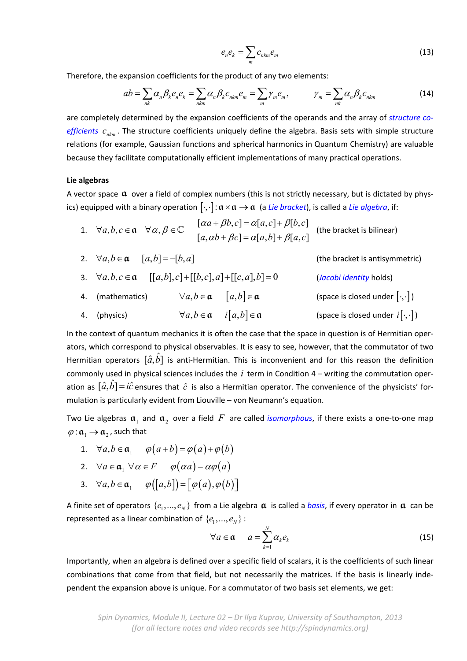$$
e_n e_k = \sum_m c_{nkm} e_m \tag{13}
$$

Therefore, the expansion coefficients for the product of any two elements:

$$
ab = \sum_{nk} \alpha_n \beta_k e_n e_k = \sum_{nkm} \alpha_n \beta_k c_{nkm} e_m = \sum_m \gamma_m e_m, \qquad \gamma_m = \sum_{nk} \alpha_n \beta_k c_{nkm}
$$
(14)

are completely determined by the expansion coefficients of the operands and the array of *structure co‐ efficients*  $c_{nkm}$ . The structure coefficients uniquely define the algebra. Basis sets with simple structure relations (for example, Gaussian functions and spherical harmonics in Quantum Chemistry) are valuable because they facilitate computationally efficient implementations of many practical operations.

#### **Lie algebras**

A vector space **a** over a field of complex numbers (this is not strictly necessary, but is dictated by phys‐ ics) equipped with a binary operation  $[\cdot,\cdot]$ :  $\alpha \times \alpha \to \alpha$  (a *Lie bracket*), is called a *Lie algebra*, if:

1. 
$$
\forall a, b, c \in \mathfrak{a} \quad \forall \alpha, \beta \in \mathbb{C}
$$
  $[ \alpha a + \beta b, c] = \alpha[a, c] + \beta[b, c]$   
\n $[a, \alpha b + \beta c] = \alpha[a, b] + \beta[a, c]$  (the bracket is bilinear)

| 2. $\forall a, b \in \mathfrak{a} \quad [a,b] = -[b,a]$                 |                                                             | (the bracket is antisymmetric)            |
|-------------------------------------------------------------------------|-------------------------------------------------------------|-------------------------------------------|
| 3. $\forall a, b, c \in \mathfrak{a}$ $[[a,b],c]+[[b,c],a]+[[c,a],b]=0$ |                                                             | (Jacobi identity holds)                   |
| 4. (mathematics)                                                        | $\forall a,b \in \mathfrak{a} \quad [a,b] \in \mathfrak{a}$ | (space is closed under $[\cdot,\cdot]$ )  |
| 4. (physics)                                                            | $\forall a,b \in \mathfrak{a}$ $i[a,b] \in \mathfrak{a}$    | (space is closed under $i[\cdot,\cdot]$ ) |

In the context of quantum mechanics it is often the case that the space in question is of Hermitian oper‐ ators, which correspond to physical observables. It is easy to see, however, that the commutator of two Hermitian operators  $[\hat{a}, \hat{b}]$  is anti-Hermitian. This is inconvenient and for this reason the definition commonly used in physical sciences includes the *i* term in Condition 4 – writing the commutation oper‐ ation as  $[\hat{a}, b] = i\hat{c}$  ensures that  $\hat{c}$  is also a Hermitian operator. The convenience of the physicists' formulation is particularly evident from Liouville – von Neumann's equation.

Two Lie algebras  $\mathfrak{a}_1$  and  $\mathfrak{a}_2$  over a field  $F$  are called *isomorphous*, if there exists a one-to-one map  $\varphi : \mathfrak{a}_1 \to \mathfrak{a}_2$ , such that

1. 
$$
\forall a, b \in \mathfrak{a}_1
$$
  $\varphi(a+b) = \varphi(a) + \varphi(b)$ 

2. 
$$
\forall a \in \mathfrak{a}_1 \ \forall \alpha \in F \qquad \varphi(\alpha a) = \alpha \varphi(a)
$$

3.  $\forall a, b \in \mathfrak{a}_1$   $\varphi([a,b]) = [\varphi(a), \varphi(b)]$ 

A finite set of operators  $\{e_1,..., e_N\}$  from a Lie algebra  $\alpha$  is called a *basis*, if every operator in  $\alpha$  can be represented as a linear combination of  $\{e_1, ..., e_N\}$ :

$$
\forall a \in \mathfrak{a} \qquad a = \sum_{k=1}^{N} \alpha_k e_k \tag{15}
$$

Importantly, when an algebra is defined over a specific field of scalars, it is the coefficients of such linear combinations that come from that field, but not necessarily the matrices. If the basis is linearly inde‐ pendent the expansion above is unique. For a commutator of two basis set elements, we get: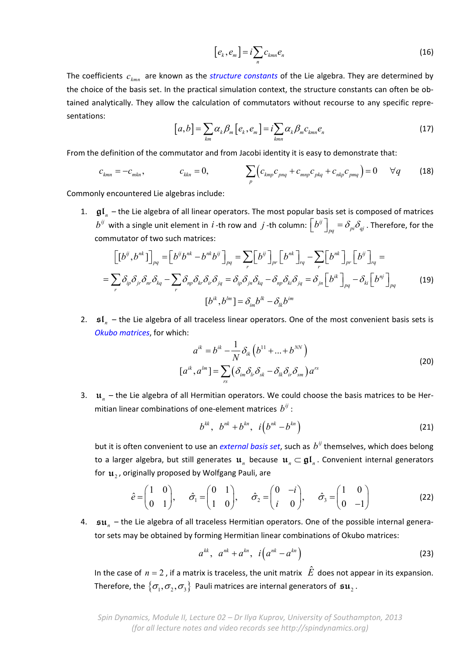$$
[e_k, e_m] = i \sum_n c_{kmn} e_n \tag{16}
$$

The coefficients  $c_{kmn}$  are known as the *structure constants* of the Lie algebra. They are determined by the choice of the basis set. In the practical simulation context, the structure constants can often be ob‐ tained analytically. They allow the calculation of commutators without recourse to any specific repre‐ sentations:

$$
[a,b] = \sum_{km} \alpha_k \beta_m [e_k, e_m] = i \sum_{kmn} \alpha_k \beta_m c_{kmn} e_n
$$
\n(17)

From the definition of the commutator and from Jacobi identity it is easy to demonstrate that:

$$
c_{kmn} = -c_{mkn}, \t c_{kkn} = 0, \t \sum_{p} \left( c_{kmp} c_{pnq} + c_{mnp} c_{pkq} + c_{nkp} c_{pmq} \right) = 0 \t \forall q \t (18)
$$

Commonly encountered Lie algebras include:

1. **gl***<sup>n</sup>* – the Lie algebra of all linear operators. The most popular basis set is composed of matrices  $b^{ij}$  with a single unit element in *i* -th row and *j* -th column:  $\left[b^{ij}\right]_{pq}=\delta_{pi}\delta_{qi}$  . Therefore, for the commutator of two such matrices:

$$
\left[\left[b^{ij},b^{nk}\right]\right]_{pq} = \left[b^{ij}b^{nk} - b^{nk}b^{ij}\right]_{pq} = \sum_{r}\left[b^{ij}\right]_{pr}\left[b^{nk}\right]_{rq} - \sum_{r}\left[b^{nk}\right]_{pr}\left[b^{ij}\right]_{rq} = \sum_{r}\delta_{ip}\delta_{jr}\delta_{nr}\delta_{kq} - \sum_{r}\delta_{np}\delta_{kr}\delta_{ir}\delta_{jq} = \delta_{ip}\delta_{jn}\delta_{kq} - \delta_{np}\delta_{ki}\delta_{jq} = \delta_{jn}\left[b^{ik}\right]_{pq} - \delta_{ki}\left[b^{nj}\right]_{pq}
$$
\n
$$
\left[b^{ik},b^{lm}\right] = \delta_{im}b^{lk} - \delta_{lk}b^{im}
$$
\n
$$
(19)
$$

2. **sl**<sub>n</sub> – the Lie algebra of all traceless linear operators. One of the most convenient basis sets is *Okubo matrices*, for which:

$$
a^{ik} = b^{ik} - \frac{1}{N} \delta_{ik} \left( b^{11} + \dots + b^{NN} \right)
$$

$$
[a^{ik}, a^{lm}] = \sum_{rs} \left( \delta_{im} \delta_{lr} \delta_{sk} - \delta_{lk} \delta_{ir} \delta_{sm} \right) a^{rs}
$$
(20)

3. **u***<sup>n</sup>* – the Lie algebra of all Hermitian operators. We could choose the basis matrices to be Her‐ mitian linear combinations of one-element matrices  $b^{ij}$ :

$$
b^{kk}, b^{nk} + b^{kn}, i\left(b^{nk} - b^{kn}\right)
$$
 (21)

but it is often convenient to use an *external basis set*, such as  $b^{ij}$  themselves, which does belong to a larger algebra, but still generates  $\mathbf{u}_n$  because  $\mathbf{u}_n \subset \mathfrak{gl}_n$ . Convenient internal generators for  $\mathbf{u}_2$ , originally proposed by Wolfgang Pauli, are

$$
\hat{e} = \begin{pmatrix} 1 & 0 \\ 0 & 1 \end{pmatrix}, \quad \hat{\sigma}_1 = \begin{pmatrix} 0 & 1 \\ 1 & 0 \end{pmatrix}, \quad \hat{\sigma}_2 = \begin{pmatrix} 0 & -i \\ i & 0 \end{pmatrix}, \quad \hat{\sigma}_3 = \begin{pmatrix} 1 & 0 \\ 0 & -1 \end{pmatrix}
$$
(22)

4. **su***<sup>n</sup>* – the Lie algebra of all traceless Hermitian operators. One of the possible internal genera‐ tor sets may be obtained by forming Hermitian linear combinations of Okubo matrices:

$$
a^{kk}, a^{nk} + a^{kn}, i\left(a^{nk} - a^{kn}\right)
$$
 (23)

In the case of  $n = 2$ , if a matrix is traceless, the unit matrix  $\hat{E}$  does not appear in its expansion. Therefore, the  $\{\sigma_1, \sigma_2, \sigma_3\}$  Pauli matrices are internal generators of  $\mathfrak{su}_2$ .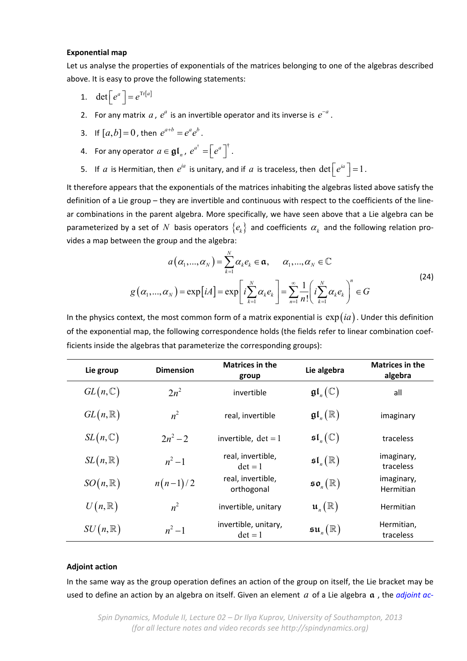#### **Exponential map**

Let us analyse the properties of exponentials of the matrices belonging to one of the algebras described above. It is easy to prove the following statements:

- 1. det  $\left[ e^a \right] = e^{\text{Tr}[a]}$
- 2. For any matrix  $a$ ,  $e^a$  is an invertible operator and its inverse is  $e^{-a}$ .

3. If 
$$
[a,b]=0
$$
, then  $e^{a+b}=e^ae^b$ .

- 4. For any operator  $a \in \mathfrak{gl}_n$ ,  $e^{a^{\dagger}} = \left[ e^a \right]^{\dagger}$ .
- 5. If *a* is Hermitian, then  $e^{ia}$  is unitary, and if *a* is traceless, then  $\det\left[e^{ia}\right]=1$ .

It therefore appears that the exponentials of the matrices inhabiting the algebras listed above satisfy the definition of a Lie group – they are invertible and continuous with respect to the coefficients of the line‐ ar combinations in the parent algebra. More specifically, we have seen above that a Lie algebra can be parameterized by a set of N basis operators  $\{e_k\}$  and coefficients  $\alpha_k$  and the following relation provides a map between the group and the algebra:

$$
a(\alpha_1, ..., \alpha_N) = \sum_{k=1}^N \alpha_k e_k \in \mathfrak{a}, \qquad \alpha_1, ..., \alpha_N \in \mathbb{C}
$$
  

$$
g(\alpha_1, ..., \alpha_N) = \exp[iA] = \exp\left[i\sum_{k=1}^N \alpha_k e_k\right] = \sum_{n=1}^\infty \frac{1}{n!} \left(i\sum_{k=1}^N \alpha_k e_k\right)^n \in G
$$
 (24)

In the physics context, the most common form of a matrix exponential is  $\exp(ia)$ . Under this definition of the exponential map, the following correspondence holds (the fields refer to linear combination coef‐ ficients inside the algebras that parameterize the corresponding groups):

| Lie group          | <b>Dimension</b> | <b>Matrices in the</b><br>group   | Lie algebra                     | <b>Matrices in the</b><br>algebra |
|--------------------|------------------|-----------------------------------|---------------------------------|-----------------------------------|
| $GL(n,\mathbb{C})$ | $2n^2$           | invertible                        | $\mathfrak{gl}_n(\mathbb{C})$   | all                               |
| $GL(n,\mathbb{R})$ | $n^2$            | real, invertible                  | $\mathfrak{gl}_{n}(\mathbb{R})$ | imaginary                         |
| $SL(n,\mathbb{C})$ | $2n^2 - 2$       | invertible, $det = 1$             | $\mathfrak{sl}_n(\mathbb{C})$   | traceless                         |
| $SL(n,\mathbb{R})$ | $n^2-1$          | real, invertible,<br>$det = 1$    | $\mathfrak{sl}_n(\mathbb{R})$   | imaginary,<br>traceless           |
| $SO(n,\mathbb{R})$ | $n(n-1)/2$       | real, invertible,<br>orthogonal   | $\mathfrak{so}_n(\mathbb{R})$   | imaginary,<br><b>Hermitian</b>    |
| $U(n,\mathbb{R})$  | $n^2$            | invertible, unitary               | $\mathfrak{u}_n(\mathbb{R})$    | <b>Hermitian</b>                  |
| $SU(n,\mathbb{R})$ | $n^2-1$          | invertible, unitary,<br>$det = 1$ | $\mathfrak{su}_n(\mathbb{R})$   | Hermitian,<br>traceless           |

## **Adjoint action**

In the same way as the group operation defines an action of the group on itself, the Lie bracket may be used to define an action by an algebra on itself. Given an element *a* of a Lie algebra **a** , the *adjoint ac‐*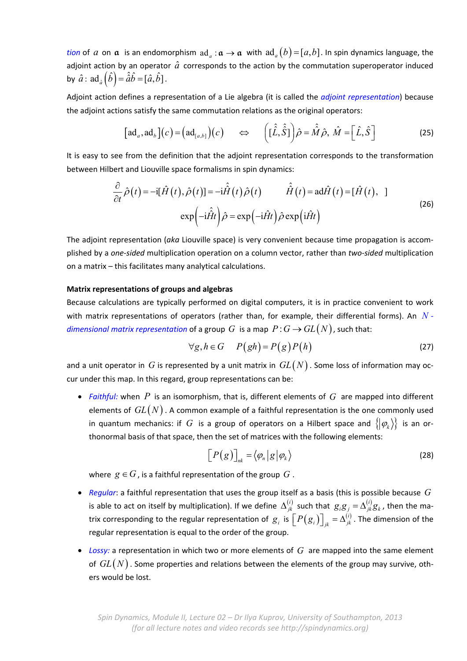*tion* of *a* on **a** is an endomorphism  $ad_a : \mathbf{a} \to \mathbf{a}$  with  $ad_a(b) = [a,b]$ . In spin dynamics language, the adjoint action by an operator  $\hat{a}$  corresponds to the action by the commutation superoperator induced by  $\hat{a}$  :  $ad_{\hat{a}}(\hat{b}) = \hat{a}\hat{b} = [\hat{a}, \hat{b}]$ .

Adjoint action defines a representation of a Lie algebra (it is called the *adjoint representation*) because the adjoint actions satisfy the same commutation relations as the original operators:

$$
[\text{ad}_a, \text{ad}_b](c) = (\text{ad}_{[a,b]}) (c) \qquad \Leftrightarrow \qquad ((\hat{\hat{L}}, \hat{\hat{S}})) \hat{\rho} = \hat{\hat{M}} \hat{\rho}, \ \hat{M} = [\hat{L}, \hat{S}]
$$
 (25)

It is easy to see from the definition that the adjoint representation corresponds to the transformation between Hilbert and Liouville space formalisms in spin dynamics:

$$
\frac{\partial}{\partial t}\hat{\rho}(t) = -i[\hat{H}(t), \hat{\rho}(t)] = -i\hat{H}(t)\hat{\rho}(t) \qquad \hat{H}(t) = \operatorname{ad}\hat{H}(t) = [\hat{H}(t), \quad]
$$
\n
$$
\exp\left(-i\hat{H}t\right)\hat{\rho} = \exp\left(-i\hat{H}t\right)\hat{\rho}\exp\left(i\hat{H}t\right)
$$
\n(26)

The adjoint representation (*aka* Liouville space) is very convenient because time propagation is accom‐ plished by a *one‐sided* multiplication operation on a column vector, rather than *two‐sided* multiplication on a matrix – this facilitates many analytical calculations.

## **Matrix representations of groups and algebras**

Because calculations are typically performed on digital computers, it is in practice convenient to work with matrix representations of operators (rather than, for example, their differential forms). An *N ‐ dimensional matrix representation* of a group *G* is a map  $P: G \to GL(N)$ , such that:

$$
\forall g, h \in G \qquad P(gh) = P(g)P(h) \tag{27}
$$

and a unit operator in  $G$  is represented by a unit matrix in  $GL(N)$  . Some loss of information may occur under this map. In this regard, group representations can be:

 *Faithful:* when *P* is an isomorphism, that is, different elements of *G* are mapped into different elements of  $GL(N)$ . A common example of a faithful representation is the one commonly used in quantum mechanics: if G is a group of operators on a Hilbert space and  $\{|\varphi_k\rangle\}$  is an orthonormal basis of that space, then the set of matrices with the following elements:

$$
\left[P(g)\right]_{nk} = \langle \varphi_n | g | \varphi_k \rangle \tag{28}
$$

where  $g \in G$ , is a faithful representation of the group  $G$ .

- *Regular*: a faithful representation that uses the group itself as a basis (this is possible because *G* is able to act on itself by multiplication). If we define  $\Delta_{jk}^{(i)}$  such that  $g_i g_j = \Delta_{jk}^{(i)} g_k$  , then the matrix corresponding to the regular representation of  $|g_i|$  is  $\left[P\big(g_i\big)\right]_{jk}=\Delta_{jk}^{(i)}$  . The dimension of the regular representation is equal to the order of the group.
- *Lossy:* a representation in which two or more elements of *G* are mapped into the same element of  $GL(N)$ . Some properties and relations between the elements of the group may survive, others would be lost.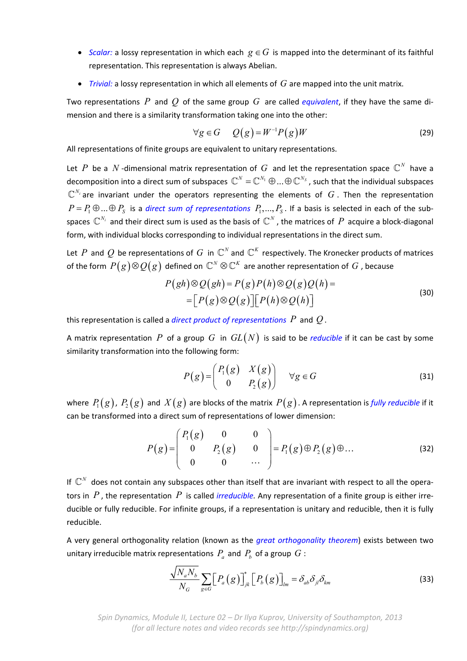- **Scalar:** a lossy representation in which each  $g \in G$  is mapped into the determinant of its faithful representation. This representation is always Abelian.
- *Trivial:* a lossy representation in which all elements of *G* are mapped into the unit matrix.

Two representations *P* and *Q* of the same group *G* are called *equivalent*, if they have the same di‐ mension and there is a similarity transformation taking one into the other:

$$
\forall g \in G \qquad Q(g) = W^{-1} P(g) W \tag{29}
$$

All representations of finite groups are equivalent to unitary representations.

Let  $P$  be a  $N$ -dimensional matrix representation of  $G$  and let the representation space  $\mathbb{C}^N$  have a decomposition into a direct sum of subspaces  $\mathbb{C}^N = \mathbb{C}^{N_1} \oplus ... \oplus \mathbb{C}^{N_S}$ , such that the individual subspaces  $\mathbb{C}^{N_i}$  are invariant under the operators representing the elements of  $G$ . Then the representation  $P = P_1 \oplus ... \oplus P_s$  is a *direct sum of representations*  $P_1,...,P_s$ . If a basis is selected in each of the subspaces  $\mathbb{C}^{N_i}$  and their direct sum is used as the basis of  $\mathbb{C}^N$ , the matrices of  $P$  acquire a block-diagonal form, with individual blocks corresponding to individual representations in the direct sum.

Let *P* and *Q* be representations of *G* in  $\mathbb{C}^N$  and  $\mathbb{C}^K$  respectively. The Kronecker products of matrices of the form  $\,P(g) \!\otimes\! Q(g) \,$  defined on  $\,\mathbb{C}^N \!\otimes\! \mathbb{C}^K$  are another representation of  $\,G$  , because

$$
P(gh) \otimes Q(gh) = P(g)P(h) \otimes Q(g)Q(h) =
$$
  
= 
$$
[P(g) \otimes Q(g)] [P(h) \otimes Q(h)]
$$
 (30)

this representation is called a *direct product of representations P* and *Q* .

A matrix representation P of a group G in  $GL(N)$  is said to be *reducible* if it can be cast by some similarity transformation into the following form:

$$
P(g) = \begin{pmatrix} P_1(g) & X(g) \\ 0 & P_2(g) \end{pmatrix} \quad \forall g \in G \tag{31}
$$

where  $P_1(g)$ ,  $P_2(g)$  and  $X(g)$  are blocks of the matrix  $P(g)$ . A representation is *fully reducible* if it can be transformed into a direct sum of representations of lower dimension:

$$
P(g) = \begin{pmatrix} P_1(g) & 0 & 0 \\ 0 & P_2(g) & 0 \\ 0 & 0 & \cdots \end{pmatrix} = P_1(g) \oplus P_2(g) \oplus \dots
$$
 (32)

If  $\mathbb{C}^N$  does not contain any subspaces other than itself that are invariant with respect to all the operators in  $P$ , the representation  $P$  is called *irreducible*. Any representation of a finite group is either irreducible or fully reducible. For infinite groups, if a representation is unitary and reducible, then it is fully reducible.

A very general orthogonality relation (known as the *great orthogonality theorem*) exists between two unitary irreducible matrix representations  $P_a$  and  $P_b$  of a group  $G$  :

$$
\frac{\sqrt{N_a N_b}}{N_G} \sum_{g \in G} \Big[ P_a\left(g\right) \Big]_{jk}^* \Big[ P_b\left(g\right) \Big]_{lm} = \delta_{ab} \delta_{jl} \delta_{km} \tag{33}
$$

*Spin Dynamics, Module II, Lecture 02 – Dr Ilya Kuprov, University of Southampton, 2013 (for all lecture notes and video records see http://spindynamics.org)*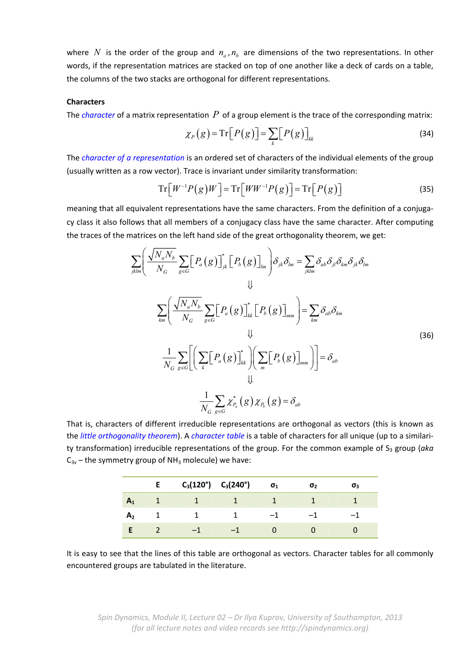where N is the order of the group and  $n_a$ ,  $n_b$  are dimensions of the two representations. In other words, if the representation matrices are stacked on top of one another like a deck of cards on a table, the columns of the two stacks are orthogonal for different representations.

## **Characters**

The *character* of a matrix representation *P* of a group element is the trace of the corresponding matrix:

$$
\chi_P(g) = \operatorname{Tr}\big[P(g)\big] = \sum_k \big[P(g)\big]_{kk} \tag{34}
$$

The *character of a representation* is an ordered set of characters of the individual elements of the group (usually written as a row vector). Trace is invariant under similarity transformation:

$$
\operatorname{Tr}\left[W^{-1}P(g)W\right] = \operatorname{Tr}\left[WW^{-1}P(g)\right] = \operatorname{Tr}\left[P(g)\right] \tag{35}
$$

meaning that all equivalent representations have the same characters. From the definition of a conjugacy class it also follows that all members of a conjugacy class have the same character. After computing the traces of the matrices on the left hand side of the great orthogonality theorem, we get:

$$
\sum_{jklm} \left( \frac{\sqrt{N_a N_b}}{N_G} \sum_{g \in G} \left[ P_a(g) \right]_{jk}^* \left[ P_b(g) \right]_{lm} \right) \delta_{jk} \delta_{lm} = \sum_{jklm} \delta_{ab} \delta_{jl} \delta_{km} \delta_{jk} \delta_{lm}
$$
\n
$$
\downarrow \downarrow
$$
\n
$$
\sum_{km} \left( \frac{\sqrt{N_a N_b}}{N_G} \sum_{g \in G} \left[ P_a(g) \right]_{kk}^* \left[ P_b(g) \right]_{mm} \right) = \sum_{km} \delta_{ab} \delta_{km}
$$
\n
$$
\downarrow \downarrow
$$
\n
$$
\frac{1}{N_G} \sum_{g \in G} \left[ \left( \sum_k \left[ P_a(g) \right]_{kk}^* \right) \left( \sum_m \left[ P_b(g) \right]_{mm} \right) \right] = \delta_{ab}
$$
\n
$$
\downarrow \downarrow
$$
\n
$$
\frac{1}{N_G} \sum_{g \in G} \chi_{P_a}^*(g) \chi_{P_b}(g) = \delta_{ab}
$$
\n
$$
(36)
$$

That is, characters of different irreducible representations are orthogonal as vectors (this is known as the *little orthogonality theorem*). A *character table* is a table of characters for all unique (up to a similari‐ ty transformation) irreducible representations of the group. For the common example of S<sub>3</sub> group (aka  $C_{3v}$  – the symmetry group of NH<sub>3</sub> molecule) we have:

|                  | E. | $C_3(120^\circ)$ $C_3(240^\circ)$ | $\sigma_1$ | σ, | σ3 |
|------------------|----|-----------------------------------|------------|----|----|
|                  |    |                                   |            |    |    |
| $\mathbf{A}_{2}$ |    |                                   |            |    |    |
|                  |    |                                   |            |    |    |

It is easy to see that the lines of this table are orthogonal as vectors. Character tables for all commonly encountered groups are tabulated in the literature.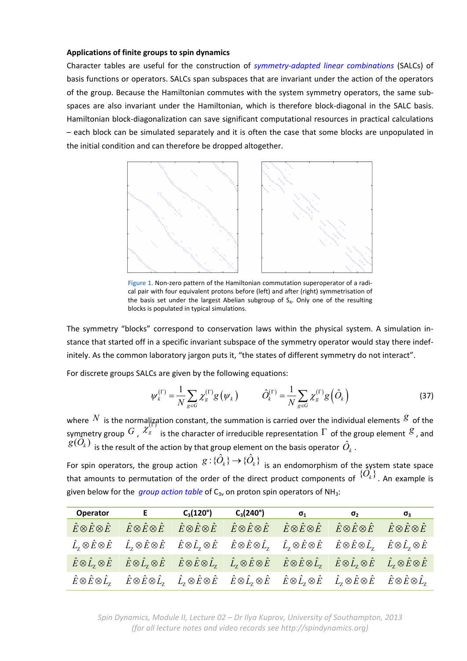## **Applications of finite groups to spin dynamics**

Character tables are useful for the construction of *symmetry‐adapted linear combinations* (SALCs) of basis functions or operators. SALCs span subspaces that are invariant under the action of the operators of the group. Because the Hamiltonian commutes with the system symmetry operators, the same sub‐ spaces are also invariant under the Hamiltonian, which is therefore block-diagonal in the SALC basis. Hamiltonian block‐diagonalization can save significant computational resources in practical calculations – each block can be simulated separately and it is often the case that some blocks are unpopulated in the initial condition and can therefore be dropped altogether.



**Figure 1.** Non‐zero pattern of the Hamiltonian commutation superoperator of a radi‐ cal pair with four equivalent protons before (left) and after (right) symmetrisation of the basis set under the largest Abelian subgroup of  $S<sub>4</sub>$ . Only one of the resulting blocks is populated in typical simulations.

The symmetry "blocks" correspond to conservation laws within the physical system. A simulation in‐ stance that started off in a specific invariant subspace of the symmetry operator would stay there indef‐ initely. As the common laboratory jargon puts it, "the states of different symmetry do not interact".

For discrete groups SALCs are given by the following equations:

$$
\psi_{k}^{(\Gamma)} = \frac{1}{N} \sum_{g \in G} \chi_{g}^{(\Gamma)} g(\psi_{k}) \qquad \hat{O}_{k}^{(\Gamma)} = \frac{1}{N} \sum_{g \in G} \chi_{g}^{(\Gamma)} g(\hat{O}_{k}) \qquad (37)
$$

where  $N$  is the normalization constant, the summation is carried over the individual elements  $g$  of the symmetry group  $G$ ,  $X_g$  is the character of irreducible representation  $\Gamma$  of the group element  $\mathcal{S}$ , and  $g(\hat{O}_k)$  is the result of the action by that group element on the basis operator  $\hat{O}_k$ .  $g(O_k)$  is the result of the action by that group element on the basis operator  $\hat{O}_k$ .<br>For spin operators, the group action  $g: \{\hat{O}_k\} \to \{\hat{O}_k\}$  is an endomorphism of the system state space

that amounts to permutation of the order of the direct product components of  $\{\widetilde{O}_k^i\}$ . An example is given below for the *group action table* of C<sub>3v</sub> on proton spin operators of NH<sub>3</sub>:

| <b>Operator</b>                       | $\mathbf{E}$ and $\mathbf{E}$                                                                                                                                                                                                                                                                                       | $C_3(120^\circ)$                                                               | $\mathsf{C}_3(240^\circ)$                                                        | $\sigma_1$ | $\sigma$ <sub>2</sub>                                                                    | $\sigma_{3}$ |
|---------------------------------------|---------------------------------------------------------------------------------------------------------------------------------------------------------------------------------------------------------------------------------------------------------------------------------------------------------------------|--------------------------------------------------------------------------------|----------------------------------------------------------------------------------|------------|------------------------------------------------------------------------------------------|--------------|
| $\hat{E}\otimes\hat{E}\otimes\hat{E}$ |                                                                                                                                                                                                                                                                                                                     | $\hat{E}\otimes\hat{E}\otimes\hat{E}\qquad\hat{E}\otimes\hat{E}\otimes\hat{E}$ | $\hat{E}\otimes\hat{E}\otimes\hat{E} \qquad \hat{E}\otimes\hat{E}\otimes\hat{E}$ |            | $\hat{E}\otimes\hat{E}\otimes\hat{E} \hspace{0.5cm} \hat{E}\otimes\hat{E}\otimes\hat{E}$ |              |
|                                       | $\hat{L}_z \otimes \hat{E} \otimes \hat{E}$ $\hat{L}_z \otimes \hat{E} \otimes \hat{E}$ $\hat{E} \otimes \hat{L}_z \otimes \hat{E}$ $\hat{E} \otimes \hat{E} \otimes \hat{L}_z$ $\hat{L}_z \otimes \hat{E} \otimes \hat{E}$ $\hat{E} \otimes \hat{E} \otimes \hat{L}_z$ $\hat{E} \otimes \hat{L}_z \otimes \hat{E}$ |                                                                                |                                                                                  |            |                                                                                          |              |
|                                       | $\hat{E}\otimes \hat{L}_z\otimes \hat{E}$ $\hat{E}\otimes \hat{L}_z\otimes \hat{E}$ $\hat{E}\otimes \hat{E}\otimes \hat{L}_z$ $\hat{L}_z\otimes \hat{E}\otimes \hat{E}$ $\hat{E}\otimes \hat{E}\otimes \hat{L}_z$ $\hat{E}\otimes \hat{L}_z\otimes \hat{E}$ $\hat{L}_z\otimes \hat{E}\otimes \hat{E}$               |                                                                                |                                                                                  |            |                                                                                          |              |
|                                       | $\hat{E}\otimes\hat{E}\otimes\hat{L_z}$ $\hat{E}\otimes\hat{E}\otimes\hat{L_z}$ $\hat{L_z}\otimes\hat{E}\otimes\hat{E}$ $\hat{E}\otimes\hat{L_z}\otimes\hat{E}$ $\hat{E}\otimes\hat{L_z}\otimes\hat{E}$ $\hat{L_z}\otimes\hat{E}\otimes\hat{E}$ $\hat{E}\otimes\hat{E}\otimes\hat{L_z}$                             |                                                                                |                                                                                  |            |                                                                                          |              |

*Spin Dynamics, Module II, Lecture 02 – Dr Ilya Kuprov, University of Southampton, 2013 (for all lecture notes and video records see http://spindynamics.org)*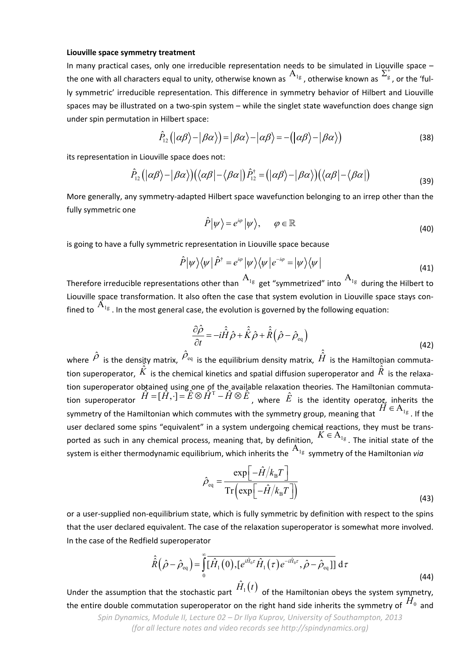#### **Liouville space symmetry treatment**

In many practical cases, only one irreducible representation needs to be simulated in Liouville space – the one with all characters equal to unity, otherwise known as  $A_{1g}$ , otherwise known as  $\Sigma_g^{\text{true}}$ , or the 'fully symmetric' irreducible representation. This difference in symmetry behavior of Hilbert and Liouville spaces may be illustrated on a two-spin system – while the singlet state wavefunction does change sign under spin permutation in Hilbert space:

$$
\hat{P}_{12}(|\alpha\beta\rangle - |\beta\alpha\rangle) = |\beta\alpha\rangle - |\alpha\beta\rangle = -(|\alpha\beta\rangle - |\beta\alpha\rangle)
$$
\n(38)

its representation in Liouville space does not:

$$
\hat{P}_{12}(|\alpha\beta\rangle-|\beta\alpha\rangle)(\langle\alpha\beta|-\langle\beta\alpha|)\hat{P}_{12}^{\dagger}=(|\alpha\beta\rangle-|\beta\alpha\rangle)(\langle\alpha\beta|-\langle\beta\alpha|)
$$
\n(39)

More generally, any symmetry‐adapted Hilbert space wavefunction belonging to an irrep other than the fully symmetric one

$$
\hat{P}|\psi\rangle = e^{i\varphi}|\psi\rangle, \qquad \varphi \in \mathbb{R}
$$
\n(40)

is going to have a fully symmetric representation in Liouville space because

$$
\hat{P}|\psi\rangle\langle\psi|\hat{P}^{\dagger}=e^{i\varphi}|\psi\rangle\langle\psi|e^{-i\varphi}=|\psi\rangle\langle\psi|
$$
\n(41)

Therefore irreducible representations other than  $A_{1g}$  get "symmetrized" into  $A_{1g}$  during the Hilbert to Liouville space transformation. It also often the case that system evolution in Liouville space stays con‐ fined to  $A_{1g}$ . In the most general case, the evolution is governed by the following equation:

$$
\frac{\partial \hat{\rho}}{\partial t} = -i\hat{\hat{H}}\hat{\rho} + \hat{\hat{K}}\hat{\rho} + \hat{\hat{R}}\left(\hat{\rho} - \hat{\rho}_{\text{eq}}\right)
$$
\n(42)

where  $\hat{\rho}$  is the density matrix,  $\hat{\rho}_{\text{\tiny{eq}}}$  is the equilibrium density matrix,  $\hat{\hat{H}}$  is the Hamiltonian commutation superoperator,  $\hat{K}$  is the chemical kinetics and spatial diffusion superoperator and  $\hat{R}$  is the relaxation superoperator obtained using one of the available relaxation theories. The Hamiltonian commutation superoperator obtained using one of the available relaxation theories. The Hamiltonian commuta-<br>tion superoperator  $\hat{H} = [\hat{H}, \cdot] = \hat{E} \otimes \hat{H}^T - \hat{H} \otimes \hat{E}$ , where  $\hat{E}$  is the identity operator, inherits the symmetry of the Hamiltonian which commutes with the symmetry group, meaning that  $H \in A_{1g}$ . If the user declared some spins "equivalent" in a system undergoing chemical reactions, they must be transported as such in any chemical process, meaning that, by definition,  $K \in A_{1g}$ . The initial state of the system is either thermodynamic equilibrium, which inherits the  $A_{1g}$  symmetry of the Hamiltonian *via* 

$$
\hat{\rho}_{\text{eq}} = \frac{\exp\left[-\hat{H}/k_{\text{B}}T\right]}{\text{Tr}\left(\exp\left[-\hat{H}/k_{\text{B}}T\right]\right)}
$$
(43)

or a user‐supplied non‐equilibrium state, which is fully symmetric by definition with respect to the spins that the user declared equivalent. The case of the relaxation superoperator is somewhat more involved. In the case of the Redfield superoperator

$$
\hat{\hat{R}}\left(\hat{\rho}-\hat{\rho}_{\text{eq}}\right) = \int_{0}^{\infty} \overline{[\hat{H}_{1}(0), [e^{i\hat{H}_{0}\tau}\hat{H}_{1}(\tau)e^{-i\hat{H}_{0}\tau}, \hat{\rho}-\hat{\rho}_{\text{eq}}]]} d\tau
$$
\n(44)

*Spin Dynamics, Module II, Lecture 02 – Dr Ilya Kuprov, University of Southampton, 2013* Under the assumption that the stochastic part  $H_1(t)$  of the Hamiltonian obeys the system symmetry, the entire double commutation superoperator on the right hand side inherits the symmetry of  $H_0$  and

*(for all lecture notes and video records see http://spindynamics.org)*